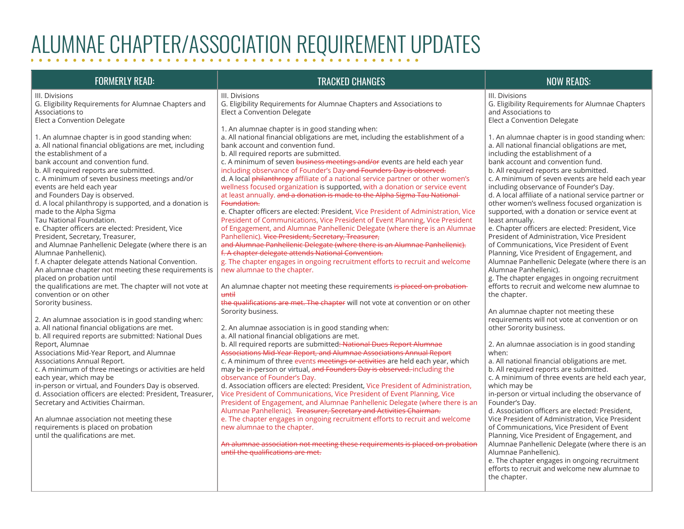## ALUMNAE CHAPTER/ASSOCIATION REQUIREMENT UPDATES

### FORMERLY READ: TRACKED CHANGES NOW READS:

III. Divisions G. Eligibility Requirements for Alumnae Chapters and Associations to

Elect a Convention Delegate

1. An alumnae chapter is in good standing when: a. All national financial obligations are met, including

the establishment of a bank account and convention fund.

b. All required reports are submitted.

c. A minimum of seven business meetings and/or

events are held each year

and Founders Day is observed.

d. A local philanthropy is supported, and a donation is made to the Alpha Sigma

Tau National Foundation.

e. Chapter officers are elected: President, Vice President, Secretary, Treasurer,

and Alumnae Panhellenic Delegate (where there is an Alumnae Panhellenic).

f. A chapter delegate attends National Convention. An alumnae chapter not meeting these requirements is placed on probation until

the qualifications are met. The chapter will not vote at convention or on other

Sorority business.

2. An alumnae association is in good standing when:

a. All national financial obligations are met. b. All required reports are submitted: National Dues Report, Alumnae

Associations Mid-Year Report, and Alumnae Associations Annual Report.

c. A minimum of three meetings or activities are held each year, which may be

in-person or virtual, and Founders Day is observed. d. Association officers are elected: President, Treasurer, Secretary and Activities Chairman.

An alumnae association not meeting these requirements is placed on probation until the qualifications are met.

## III. Divisions

G. Eligibility Requirements for Alumnae Chapters and Associations to Elect a Convention Delegate

1. An alumnae chapter is in good standing when:

a. All national financial obligations are met, including the establishment of a bank account and convention fund.

b. All required reports are submitted.

c. A minimum of seven business meetings and/or events are held each year including observance of Founder's Day and Founders Day is observed.

d. A local philanthropy affiliate of a national service partner or other women's wellness focused organization is supported, with a donation or service event at least annually. and a donation is made to the Alpha Sigma Tau National Foundation.

e. Chapter officers are elected: President, Vice President of Administration, Vice President of Communications, Vice President of Event Planning, Vice President of Engagement, and Alumnae Panhellenic Delegate (where there is an Alumnae Panhellenic). Vice President, Secretary, Treasurer,

and Alumnae Panhellenic Delegate (where there is an Alumnae Panhellenic). f. A chapter delegate attends National Convention.

g. The chapter engages in ongoing recruitment efforts to recruit and welcome new alumnae to the chapter.

An alumnae chapter not meeting these requirements is placed on probationuntil

the qualifications are met. The chapter will not vote at convention or on other Sorority business.

2. An alumnae association is in good standing when:

a. All national financial obligations are met.

b. All required reports are submitted: National Dues Report Alumnae

Associations Mid-Year Report, and Alumnae Associations Annual Report c. A minimum of three events meetings or activities are held each year, which may be in-person or virtual, and Founders Day is observed. including the observance of Founder's Day.

d. Association officers are elected: President, Vice President of Administration, Vice President of Communications, Vice President of Event Planning, Vice President of Engagement, and Alumnae Panhellenic Delegate (where there is an Alumnae Panhellenic). Treasurer, Secretary and Activities Chairman. e. The chapter engages in ongoing recruitment efforts to recruit and welcome new alumnae to the chapter.

An alumnae association not meeting these requirements is placed on probation until the qualifications are met.

### III. Divisions G. Eligibility Requirements for Alumnae Chapters and Associations to

Elect a Convention Delegate

1. An alumnae chapter is in good standing when:

a. All national financial obligations are met,

including the establishment of a

bank account and convention fund. b. All required reports are submitted.

c. A minimum of seven events are held each year including observance of Founder's Day.

d. A local affiliate of a national service partner or other women's wellness focused organization is supported, with a donation or service event at least annually.

e. Chapter officers are elected: President, Vice President of Administration, Vice President of Communications, Vice President of Event Planning, Vice President of Engagement, and Alumnae Panhellenic Delegate (where there is an

Alumnae Panhellenic). g. The chapter engages in ongoing recruitment efforts to recruit and welcome new alumnae to the chapter.

An alumnae chapter not meeting these requirements will not vote at convention or on other Sorority business.

2. An alumnae association is in good standing when:

a. All national financial obligations are met.

b. All required reports are submitted.

c. A minimum of three events are held each year, which may be

in-person or virtual including the observance of Founder's Day.

d. Association officers are elected: President, Vice President of Administration, Vice President of Communications, Vice President of Event Planning, Vice President of Engagement, and Alumnae Panhellenic Delegate (where there is an Alumnae Panhellenic).

e. The chapter engages in ongoing recruitment efforts to recruit and welcome new alumnae to the chapter.